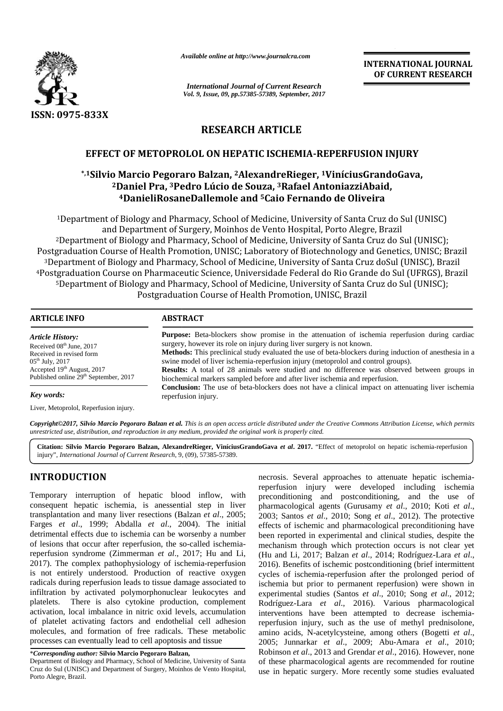

*Available online at http://www.journalcra.com*

*International Journal of Current Research Vol. 9, Issue, 09, pp.57385-57389, September, 2017* **INTERNATIONAL JOURNAL OF CURRENT RESEARCH**

# **RESEARCH ARTICLE**

## **EFFECT OF METOPROLOL ON HEPATIC ISCHEMIA-REPERFUSION INJURY**

# **\*,1Silvio Marcio Pegoraro Balzan, <sup>2</sup>AlexandreRieger, <sup>1</sup>ViníciusGrandoGava, 12<sup>2</sup>Daniel Pra, <sup>3</sup>Pedro Lúcio de Souza, <sup>3</sup>Rafael AntoniazziAbaid, )aniel Pra, <sup>3</sup>Pedro Lúcio de Souza, <sup>3</sup>Rafael AntoniazziAbaid,<br><sup>4</sup>DanieliRosaneDallemole and <sup>5</sup>Caio Fernando de Oliveira**

<sup>1</sup>Department of Biology and Pharmacy, School of Medicine, University of Santa Cruz do Sul (UNISC) and Department of Surgery, Moinhos de Vento Hospital, Porto Alegre, Brazil <sup>2</sup>Department of Biology and Pharmacy, School of Medicine, University of Santa Cruz do Sul (UNISC); <sup>1</sup>Department of Biology and Pharmacy, School of Medicine, University of Santa Cruz do Sul (UNISC)<br>and Department of Surgery, Moinhos de Vento Hospital, Porto Alegre, Brazil<br><sup>2</sup>Department of Biology and Pharmacy, School of <sup>3</sup>Department of Biology and Pharmacy, School of Medicine, University of Santa Cruz doSul (UNISC), Brazil <sup>4</sup>Postgraduation Course on Pharmaceutic Science, Universidade Federal do Rio Grande do Sul (UFRGS), Brazil <sup>5</sup>Department of Biology and Pharmacy, School of Medicine, University of Santa Cruz do Sul (UNISC); Postgraduation Course of Health Promotion, UNISC, Brazil <sup>3</sup>Department of Biology and Pharmacy, School of Medicine, University of Santa Cruz doSul (UNISC), Brazil<br>ostgraduation Course on Pharmaceutic Science, Universidade Federal do Rio Grande do Sul (UFRGS), Bra<br><sup>5</sup>Department o

| <b>ABSTRACT</b><br><b>Purpose:</b> Beta-blockers show promise in the attenuation of ischemia reperfusion during cardiac                                                                                                                                                                                                                                                                                                                                             |
|---------------------------------------------------------------------------------------------------------------------------------------------------------------------------------------------------------------------------------------------------------------------------------------------------------------------------------------------------------------------------------------------------------------------------------------------------------------------|
|                                                                                                                                                                                                                                                                                                                                                                                                                                                                     |
| surgery, however its role on injury during liver surgery is not known.<br><b>Methods:</b> This preclinical study evaluated the use of beta-blockers during induction of anesthesia in a<br>swine model of liver ischemia-reperfusion injury (metoprolol and control groups).<br><b>Results:</b> A total of 28 animals were studied and no difference was observed between groups in<br>biochemical markers sampled before and after liver ischemia and reperfusion. |
| <b>Conclusion:</b> The use of beta-blockers does not have a clinical impact on attenuating liver ischemia<br>reperfusion injury.                                                                                                                                                                                                                                                                                                                                    |
|                                                                                                                                                                                                                                                                                                                                                                                                                                                                     |
| Copyright©2017, Silvio Marcio Pegoraro Balzan et al. This is an open access article distributed under the Creative Commons Attribution License, which permits<br>unrestricted use, distribution, and reproduction in any medium, provided the original work is properly cited.                                                                                                                                                                                      |
| Citation: Silvio Marcio Pegoraro Balzan, AlexandreRieger, ViníciusGrandoGava et al. 2017. "Effect of metoprolol on hepatic ischemia-reperfusion<br>injury", International Journal of Current Research, 9, (09), 57385-57389.                                                                                                                                                                                                                                        |

#### *Key words:*

**Citation: Silvio Marcio Pegoraro Balzan, AlexandreRieger, ViníciusGrandoGava** *et al***. 2017.** "Effect of metoprolol on hepatic ischemia-reperfusion injury", *International Journal of Current Research*, 9, (09), 57385-57389.

## **INTRODUCTION INTRODUCTION**

Temporary interruption of hepatic blood inflow, with preco consequent hepatic ischemia, is anessential step in liver consequent hepatic ischemia, is anessential step in liver p<br>transplantation and many liver resections (Balzan *et al.*, 2005; 2 Farges *et al*., 1999; Abdalla *et al*., 2004). The initial detrimental effects due to ischemia can be worsenby a number of lesions that occur after reperfusion, the so-called ischemiareperfusion syndrome (Zimmerman *et al*., 2017; Hu and Li, 2017). The complex pathophysiology of ischemia-reperfusion is not entirely understood. Production of reactive oxygen cycle radicals during reperfusion leads to tissue damage associated to ische infiltration by activated polymorphonuclear leukocytes and platelets. There is also cytokine production, complement activation, local imbalance in nitric oxid levels, accumulation of platelet activating factors and endothelial cell adhesion reper molecules, and formation of free radicals. These metabolic molecules, and formation of free radicals. These metabolic processes can eventually lead to cell apoptosis and tissue Farges *et al.*, 1999; Abdalla *et al.*, 2004). The initial effect detrimental effects due to ischemia can be worsenby a number been of lesions that occur after reperfusion, the so-called ischemia-reperfusion syndrome (Zim infiltration by activated polymorphonuclear leukocytes and experiment platelets. There is also cytokine production, complement Rodrings activation, local imbalance in nitric oxid levels, accumulation interval

\**Corresponding author:* **Silvio Marcio Pegoraro Balzan,** \*

necrosis. Several approaches to attenuate hepatic ischemiareperfusion injury were developed including ischemia preconditioning and postconditioning, and the use of pharmacological agents (Gurusamy *et al*., 2010; Koti *et al*., 2003; Santos *et al*., 2010; Song *et al*., 2012). The protective effects of ischemic and pharmacological preconditioning have been reported in experimental and clinical studies, despite the mechanism through which protection occurs is not clear yet (Hu and Li, 2017; Balzan *et al*., 2014; Rodríguez-Lara *et al*., 2016). Benefits of ischemic postconditioning (brief intermittent cycles of ischemia-reperfusion after the prolonged period of ischemia but prior to permanent reperfusion) were shown in experimental studies (Santos *et al*., 2010; Song *et al*., 2012; Rodríguez-Lara *et al*., 2016). Various pharmacological interventions have been attempted to decrease ischemiareperfusion injury, such as the use of methyl prednisolone, amino acids, N-acetylcysteine, among others (Bogetti *et al*., 2005; Junnarkar *et al*., 2009; Abu-Amara *et al*., 2010; Robinson *et al*., 2013 and Grendar *et al*., 2016). However, none of these pharmacological agents are recommended for routine use in hepatic surgery. More recently some studies evaluated ARTICLE IN the base of particle and particle and the base of the base of the base of the base of the base of the base of the base of the base of the base of the base of the base of the base of the base of the base of the al., 2004). The initial effects of ischemic and pharmacological preconditioning have<br>can be worsenby a number been reported in experimental and clinical studies, despite the<br>on, the so-called ischemia-mechanism through wh

Department of Biology and Pharmacy, School of Medicine, University of Santa Cruz do Sul (UNISC) and Department of Surgery, Moinhos de Vento Hospital, Porto Alegre, Brazil.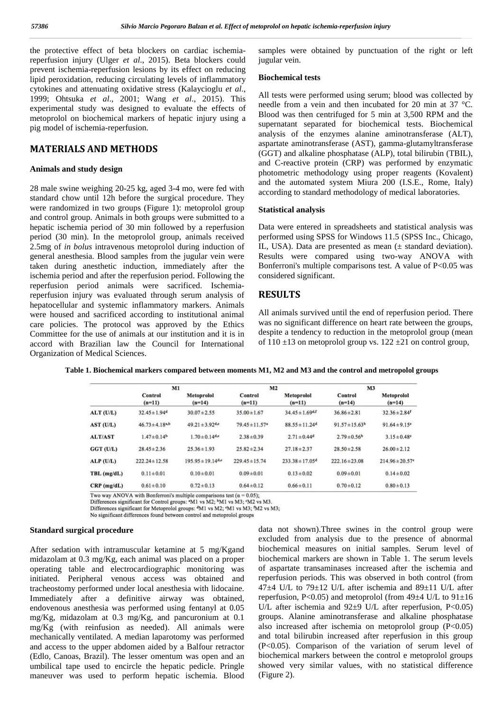the protective effect of beta blockers on cardiac ischemiareperfusion injury (Ulger *et al*., 2015). Beta blockers could prevent ischemia-reperfusion lesions by its effect on reducing lipid peroxidation, reducing circulating levels of inflammatory cytokines and attenuating oxidative stress (Kalaycioglu *et al*., 1999; Ohtsuka *et al*., 2001; Wang *et al*., 2015). This experimental study was designed to evaluate the effects of metoprolol on biochemical markers of hepatic injury using a pig model of ischemia-reperfusion.

### **MATERIALS AND METHODS**

#### **Animals and study design**

28 male swine weighing 20-25 kg, aged 3-4 mo, were fed with standard chow until 12h before the surgical procedure. They were randomized in two groups (Figure 1): metoprolol group and control group. Animals in both groups were submitted to a hepatic ischemia period of 30 min followed by a reperfusion period (30 min). In the metoprolol group, animals received 2.5mg of *in bolus* intravenous metoprolol during induction of general anesthesia. Blood samples from the jugular vein were taken during anesthetic induction, immediately after the ischemia period and after the reperfusion period. Following the reperfusion period animals were sacrificed. Ischemiareperfusion injury was evaluated through serum analysis of hepatocellular and systemic inflammatory markers. Animals were housed and sacrificed according to institutional animal care policies. The protocol was approved by the Ethics Committee for the use of animals at our institution and it is in accord with Brazilian law the Council for International Organization of Medical Sciences.

samples were obtained by punctuation of the right or left jugular vein.

#### **Biochemical tests**

All tests were performed using serum; blood was collected by needle from a vein and then incubated for 20 min at 37 °C. Blood was then centrifuged for 5 min at 3,500 RPM and the supernatant separated for biochemical tests. Biochemical analysis of the enzymes alanine aminotransferase (ALT), aspartate aminotransferase (AST), gamma-glutamyltransferase (GGT) and alkaline phosphatase (ALP), total bilirubin (TBIL), and C-reactive protein (CRP) was performed by enzymatic photometric methodology using proper reagents (Kovalent) and the automated system Miura 200 (I.S.E., Rome, Italy) according to standard methodology of medical laboratories.

#### **Statistical analysis**

Data were entered in spreadsheets and statistical analysis was performed using SPSS for Windows 11.5 (SPSS Inc., Chicago, IL, USA). Data are presented as mean (± standard deviation). Results were compared using two-way ANOVA with Bonferroni's multiple comparisons test. A value of  $P<0.05$  was considered significant.

### **RESULTS**

All animals survived until the end of reperfusion period. There was no significant difference on heart rate between the groups, despite a tendency to reduction in the metoprolol group (mean of  $110 \pm 13$  on metoprolol group vs.  $122 \pm 21$  on control group,

|                | M1                            |                        | M <sub>2</sub>                 |                                | M <sub>3</sub>      |                                 |
|----------------|-------------------------------|------------------------|--------------------------------|--------------------------------|---------------------|---------------------------------|
|                | Control<br>$(n=11)$           | Metoprolol<br>$(n=14)$ | Control<br>$(n=11)$            | Metoprolol<br>$(n=11)$         | Control<br>$(n=14)$ | Metoprolol<br>$(n=14)$          |
| ALT (U/L)      | $32.45 \pm 1.94$ <sup>d</sup> | $30.07 \pm 2.55$       | $35.00 \pm 1.67$               | $34.45 \pm 1.69$ d,f           | $36.86 \pm 2.81$    | $32.36 \pm 2.84$ <sup>f</sup>   |
| AST (U/L)      | $46.73 \pm 4.18^{a,b}$        | $49.21 \pm 3.92$ d,e   | $79.45 \pm 11.57$ <sup>a</sup> | $88.55 \pm 11.24$ <sup>d</sup> | $91.57 \pm 15.63^b$ | $91.64 \pm 9.15$ <sup>e</sup>   |
| <b>ALT/AST</b> | $1.47 \pm 0.14b$              | $1.70 \pm 0.14$ d,e    | $2.38 \pm 0.39$                | $2.71 \pm 0.44$ <sup>d</sup>   | $2.79 \pm 0.56$     | $3.15 \pm 0.48$ <sup>e</sup>    |
| GGT (U/L)      | $28.45 \pm 2.36$              | $25.36 \pm 1.93$       | $25.82 \pm 2.34$               | $27.18 \pm 2.37$               | $28.50 \pm 2.58$    | $26.00 \pm 2.12$                |
| ALP(U/L)       | $222.24 \pm 12.58$            | $195.95 \pm 19.14$ d,e | $229.45 \pm 15.74$             | $233.38 \pm 17.05^d$           | $222.16 \pm 23.08$  | $214.96 \pm 20.57$ <sup>e</sup> |
| $TBL$ (mg/dL)  | $0.11 \pm 0.01$               | $0.10 \pm 0.01$        | $0.09 \pm 0.01$                | $0.13 \pm 0.02$                | $0.09 \pm 0.01$     | $0.14 \pm 0.02$                 |
| $CRP$ (mg/dL)  | $0.61 \pm 0.10$               | $0.72 \pm 0.13$        | $0.64 \pm 0.12$                | $0.66 \pm 0.11$                | $0.70 \pm 0.12$     | $0.80 \pm 0.13$                 |

**Table 1. Biochemical markers compared between moments M1, M2 and M3 and the control and metropolol groups**

Two way ANOVA with Bonferroni's multiple comparisons test  $(\alpha = 0.05)$ ;<br>Differences significant for Control groups:  $M1$  vs M2;  $(M1)$  vs M3;  $(M2)$  vs M3.

Differences significant for Metoprolol groups: <sup>d</sup>M1 vs M2; <sup>e</sup>M1 vs M3; <sup>f</sup>M2 vs M3;

No significant differences found between control and metoprolol groups

#### **Standard surgical procedure**

After sedation with intramuscular ketamine at 5 mg/Kgand midazolam at 0.3 mg/Kg, each animal was placed on a proper operating table and electrocardiographic monitoring was initiated. Peripheral venous access was obtained and tracheostomy performed under local anesthesia with lidocaine. Immediately after a definitive airway was obtained, endovenous anesthesia was performed using fentanyl at 0.05 mg/Kg, midazolam at 0.3 mg/Kg, and pancuronium at 0.1 mg/Kg (with reinfusion as needed). All animals were mechanically ventilated. A median laparotomy was performed and access to the upper abdomen aided by a Balfour retractor (Edlo, Canoas, Brazil). The lesser omentum was open and an umbilical tape used to encircle the hepatic pedicle. Pringle maneuver was used to perform hepatic ischemia. Blood

data not shown).Three swines in the control group were excluded from analysis due to the presence of abnormal biochemical measures on initial samples. Serum level of biochemical markers are shown in Table 1. The serum levels of aspartate transaminases increased after the ischemia and reperfusion periods. This was observed in both control (from 47 $\pm$ 4 U/L to 79 $\pm$ 12 U/L after ischemia and 89 $\pm$ 11 U/L after reperfusion, P<0.05) and metoprolol (from  $49\pm4$  U/L to  $91\pm16$ U/L after ischemia and 92 $\pm$ 9 U/L after reperfusion, P<0.05) groups. Alanine aminotransferase and alkaline phosphatase also increased after ischemia on metoprolol group (P<0.05) and total bilirubin increased after reperfusion in this group (P<0.05). Comparison of the variation of serum level of biochemical markers between the control e metoprolol groups showed very similar values, with no statistical difference (Figure 2).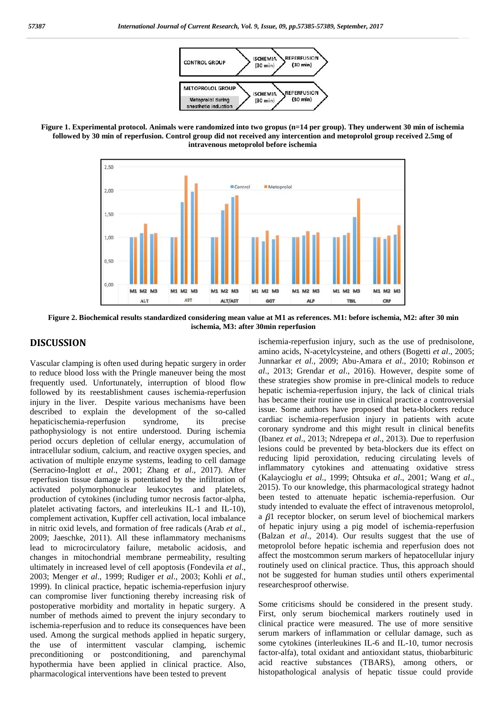

**Figure 1. Experimental protocol. Animals were randomized into two gropus (n=14 per group). They underwent 30 min of ischemia followed by 30 min of reperfusion. Control group did not received any intercention and metoprolol group received 2.5mg of intravenous metoprolol before ischemia**



**Figure 2. Biochemical results standardized considering mean value at M1 as references. M1: before ischemia, M2: after 30 min ischemia, M3: after 30min reperfusion**

### **DISCUSSION**

Vascular clamping is often used during hepatic surgery in order to reduce blood loss with the Pringle maneuver being the most frequently used. Unfortunately, interruption of blood flow followed by its reestablishment causes ischemia-reperfusion injury in the liver. Despite various mechanisms have been described to explain the development of the so-called hepaticischemia-reperfusion syndrome, its precise pathophysiology is not entire understood. During ischemia period occurs depletion of cellular energy, accumulation of intracellular sodium, calcium, and reactive oxygen species, and activation of multiple enzyme systems, leading to cell damage (Serracino-Inglott *et al*., 2001; Zhang *et al*., 2017). After reperfusion tissue damage is potentiated by the infiltration of activated polymorphonuclear leukocytes and platelets, production of cytokines (including tumor necrosis factor-alpha, platelet activating factors, and interleukins IL-1 and IL-10), complement activation, Kupffer cell activation, local imbalance in nitric oxid levels, and formation of free radicals (Arab *et al*., 2009; Jaeschke, 2011). All these inflammatory mechanisms lead to microcirculatory failure, metabolic acidosis, and changes in mitochondrial membrane permeability, resulting ultimately in increased level of cell apoptosis (Fondevila *et al*., 2003; Menger *et al*., 1999; Rudiger *et al*., 2003; Kohli *et al*., 1999). In clinical practice, hepatic ischemia-reperfusion injury can compromise liver functioning thereby increasing risk of postoperative morbidity and mortality in hepatic surgery. A number of methods aimed to prevent the injury secondary to ischemia-reperfusion and to reduce its consequences have been used. Among the surgical methods applied in hepatic surgery, the use of intermittent vascular clamping, ischemic preconditioning or postconditioning, and parenchymal hypothermia have been applied in clinical practice. Also, pharmacological interventions have been tested to prevent

ischemia-reperfusion injury, such as the use of prednisolone, amino acids, N-acetylcysteine, and others (Bogetti *et al*., 2005; Junnarkar *et al*., 2009; Abu-Amara *et al*., 2010; Robinson *et al*., 2013; Grendar *et al*., 2016). However, despite some of these strategies show promise in pre-clinical models to reduce hepatic ischemia-reperfusion injury, the lack of clinical trials has became their routine use in clinical practice a controversial issue. Some authors have proposed that beta-blockers reduce cardiac ischemia-reperfusion injury in patients with acute coronary syndrome and this might result in clinical benefits (Ibanez *et al*., 2013; Ndrepepa *et al*., 2013). Due to reperfusion lesions could be prevented by beta-blockers due its effect on reducing lipid peroxidation, reducing circulating levels of inflammatory cytokines and attenuating oxidative stress (Kalaycioglu *et al*., 1999; Ohtsuka *et al*., 2001; Wang *et al*., 2015). To our knowledge, this pharmacological strategy hadnot been tested to attenuate hepatic ischemia-reperfusion. Our study intended to evaluate the effect of intravenous metoprolol, a  $\beta$ 1 receptor blocker, on serum level of biochemical markers of hepatic injury using a pig model of ischemia-reperfusion (Balzan *et al*., 2014). Our results suggest that the use of metoprolol before hepatic ischemia and reperfusion does not affect the mostcommon serum markers of hepatocellular injury routinely used on clinical practice. Thus, this approach should not be suggested for human studies until others experimental researchesproof otherwise.

Some criticisms should be considered in the present study. First, only serum biochemical markers routinely used in clinical practice were measured. The use of more sensitive serum markers of inflammation or cellular damage, such as some cytokines (interleukines IL-6 and IL-10, tumor necrosis factor-alfa), total oxidant and antioxidant status, thiobarbituric acid reactive substances (TBARS), among others, or histopathological analysis of hepatic tissue could provide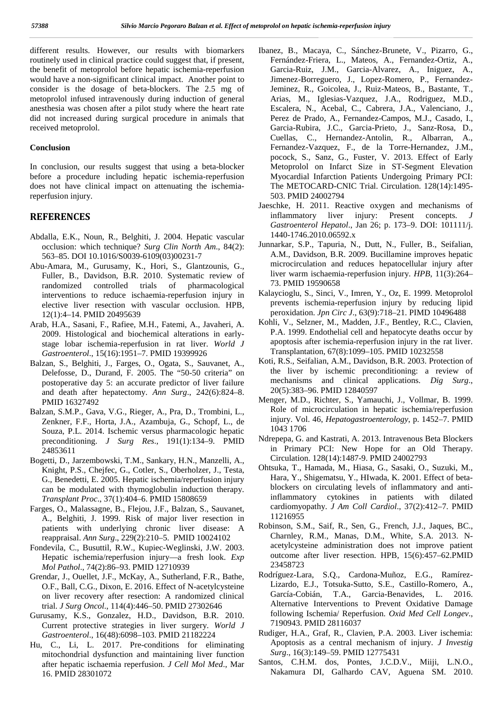different results. However, our results with biomarkers routinely used in clinical practice could suggest that, if present, the benefit of metoprolol before hepatic ischemia-reperfusion would have a non-significant clinical impact. Another point to consider is the dosage of beta-blockers. The 2.5 mg of metoprolol infused intravenously during induction of general anesthesia was chosen after a pilot study where the heart rate did not increased during surgical procedure in animals that received metoprolol.

#### **Conclusion**

In conclusion, our results suggest that using a beta-blocker before a procedure including hepatic ischemia-reperfusion does not have clinical impact on attenuating the ischemiareperfusion injury.

### **REFERENCES**

- Abdalla, E.K., Noun, R., Belghiti, J. 2004. Hepatic vascular occlusion: which technique? *Surg Clin North Am*., 84(2): 563–85. DOI 10.1016/S0039-6109(03)00231-7
- Abu-Amara, M., Gurusamy, K., Hori, S., Glantzounis, G., Fuller, B., Davidson, B.R. 2010. Systematic review of randomized controlled trials of pharmacological interventions to reduce ischaemia-reperfusion injury in elective liver resection with vascular occlusion. HPB, 12(1):4–14. PMID 20495639
- Arab, H.A., Sasani, F., Rafiee, M.H., Fatemi, A., Javaheri, A. 2009. Histological and biochemical alterations in early stage lobar ischemia-reperfusion in rat liver. *World J Gastroenterol*., 15(16):1951–7. PMID 19399926
- Balzan, S., Belghiti, J., Farges, O., Ogata, S., Sauvanet, A., Delefosse, D., Durand, F. 2005. The "50-50 criteria" on postoperative day 5: an accurate predictor of liver failure and death after hepatectomy. *Ann Surg*., 242(6):824–8. PMID 16327492
- Balzan, S.M.P., Gava, V.G., Rieger, A., Pra, D., Trombini, L., Zenkner, F.F., Horta, J.A., Azambuja, G., Schopf, L., de Souza, P.L. 2014. Ischemic versus pharmacologic hepatic preconditioning. *J Surg Res*., 191(1):134–9. PMID 24853611
- Bogetti, D., Jarzembowski, T.M., Sankary, H.N., Manzelli, A., Knight, P.S., Chejfec, G., Cotler, S., Oberholzer, J., Testa, G., Benedetti, E. 2005. Hepatic ischemia/reperfusion injury can be modulated with thymoglobulin induction therapy. *Transplant Proc*., 37(1):404–6. PMID 15808659
- Farges, O., Malassagne, B., Flejou, J.F., Balzan, S., Sauvanet, A., Belghiti, J. 1999. Risk of major liver resection in patients with underlying chronic liver disease: A reappraisal. *Ann Surg*., 229(2):210–5. PMID 10024102
- Fondevila, C., Busuttil, R.W., Kupiec-Weglinski, J.W. 2003. Hepatic ischemia/reperfusion injury—a fresh look. *Exp Mol Pathol*., 74(2):86–93. PMID 12710939
- Grendar, J., Ouellet, J.F., McKay, A., Sutherland, F.R., Bathe, O.F., Ball, C.G., Dixon, E. 2016. Effect of N-acetylcysteine on liver recovery after resection: A randomized clinical trial. *J Surg Oncol*., 114(4):446–50. PMID 27302646
- Gurusamy, K.S., Gonzalez, H.D., Davidson, B.R. 2010. Current protective strategies in liver surgery. *World J Gastroenterol*., 16(48):6098–103. PMID 21182224
- Hu, C., Li, L. 2017. Pre-conditions for eliminating mitochondrial dysfunction and maintaining liver function after hepatic ischaemia reperfusion. *J Cell Mol Med*., Mar 16. PMID 28301072
- Ibanez, B., Macaya, C., Sánchez-Brunete, V., Pizarro, G., Fernández-Friera, L., Mateos, A., Fernandez-Ortiz, A., Garcia-Ruiz, J.M., Garcia-Alvarez, A., Iniguez, A., Jimenez-Borreguero, J., Lopez-Romero, P., Fernandez- Jeminez, R., Goicolea, J., Ruiz-Mateos, B., Bastante, T., Arias, M., Iglesias-Vazquez, J.A., Rodriguez, M.D., Escalera, N., Acebal, C., Cabrera, J.A., Valenciano, J., Perez de Prado, A., Fernandez-Campos, M.J., Casado, I., Garcia-Rubira, J.C., Garcia-Prieto, J., Sanz-Rosa, D., Cuellas, C., Hernandez-Antolin, R., Albarran, A., Fernandez-Vazquez, F., de la Torre-Hernandez, J.M., pocock, S., Sanz, G., Fuster, V. 2013. Effect of Early Metoprolol on Infarct Size in ST-Segment Elevation Myocardial Infarction Patients Undergoing Primary PCI: The METOCARD-CNIC Trial. Circulation. 128(14):1495- 503. PMID 24002794
- Jaeschke, H. 2011. Reactive oxygen and mechanisms of inflammatory liver injury: Present concepts. *J Gastroenterol Hepatol*., Jan 26; p. 173–9. DOI: 101111/j. 1440-1746.2010.06592.x
- Junnarkar, S.P., Tapuria, N., Dutt, N., Fuller, B., Seifalian, A.M., Davidson, B.R. 2009. Bucillamine improves hepatic microcirculation and reduces hepatocellular injury after liver warm ischaemia-reperfusion injury. *HPB*, 11(3):264– 73. PMID 19590658
- Kalaycioglu, S., Sinci, V., Imren, Y., Oz, E. 1999. Metoprolol prevents ischemia-reperfusion injury by reducing lipid peroxidation. *Jpn Circ J*., 63(9):718–21. PIMD 10496488
- Kohli, V., Selzner, M., Madden, J.F., Bentley, R.C., Clavien, P.A. 1999. Endothelial cell and hepatocyte deaths occur by apoptosis after ischemia-reperfusion injury in the rat liver. Transplantation, 67(8):1099–105. PMID 10232558
- Koti, R.S., Seifalian, A.M., Davidson, B.R. 2003. Protection of the liver by ischemic preconditioning: a review of mechanisms and clinical applications. *Dig Surg*., 20(5):383–96. PMID 12840597
- Menger, M.D., Richter, S., Yamauchi, J., Vollmar, B. 1999. Role of microcirculation in hepatic ischemia/reperfusion injury. Vol. 46, *Hepatogastroenterology*, p. 1452–7. PMID 1043 1706
- Ndrepepa, G. and Kastrati, A. 2013. Intravenous Beta Blockers in Primary PCI: New Hope for an Old Therapy. Circulation. 128(14):1487-9. PMID 24002793
- Ohtsuka, T., Hamada, M., Hiasa, G., Sasaki, O., Suzuki, M., Hara, Y., Shigematsu, Y., HIwada, K. 2001. Effect of beta blockers on circulating levels of inflammatory and antiinflammatory cytokines in patients with dilated cardiomyopathy. *J Am Coll Cardiol*., 37(2):412–7. PMID 11216955
- Robinson, S.M., Saif, R., Sen, G., French, J.J., Jaques, BC., Charnley, R.M., Manas, D.M., White, S.A. 2013. N acetylcysteine administration does not improve patient outcome after liver resection. HPB, 15(6):457–62.PMID 23458723
- Rodríguez-Lara, S.Q., Cardona-Muñoz, E.G., Ramírez- Lizardo, E.J., Totsuka-Sutto, S.E., Castillo-Romero, A., García-Cobián, T.A., Garcia-Benavides, L. 2016. Alternative Interventions to Prevent Oxidative Damage following Ischemia/ Reperfusion. *Oxid Med Cell Longev*., 7190943. PMID 28116037
- Rudiger, H.A., Graf, R., Clavien, P.A. 2003. Liver ischemia: Apoptosis as a central mechanism of injury. *J Investig Surg*., 16(3):149–59. PMID 12775431
- Santos, C.H.M. dos, Pontes, J.C.D.V., Miiji, L.N.O., Nakamura DI, Galhardo CAV, Aguena SM. 2010.